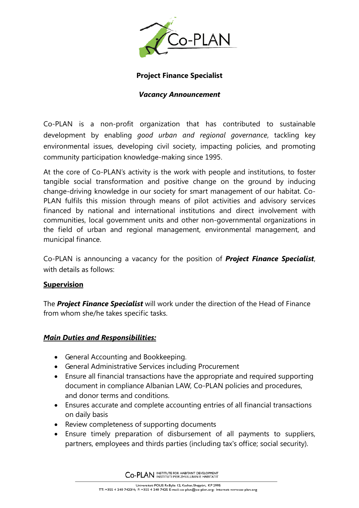

## **Project Finance Specialist**

### *Vacancy Announcement*

Co-PLAN is a non-profit organization that has contributed to sustainable development by enabling *good urban and regional governance*, tackling key environmental issues, developing civil society, impacting policies, and promoting community participation knowledge-making since 1995.

At the core of Co-PLAN's activity is the work with people and institutions, to foster tangible social transformation and positive change on the ground by inducing change-driving knowledge in our society for smart management of our habitat. Co-PLAN fulfils this mission through means of pilot activities and advisory services financed by national and international institutions and direct involvement with communities, local government units and other non-governmental organizations in the field of urban and regional management, environmental management, and municipal finance.

Co-PLAN is announcing a vacancy for the position of *Project Finance Specialist*, with details as follows:

### **Supervision**

The *Project Finance Specialist* will work under the direction of the Head of Finance from whom she/he takes specific tasks.

### *Main Duties and Responsibilities:*

- General Accounting and Bookkeeping.
- General Administrative Services including Procurement
- Ensure all financial transactions have the appropriate and required supporting document in compliance Albanian LAW, Co-PLAN policies and procedures, and donor terms and conditions.
- Ensures accurate and complete accounting entries of all financial transactions on daily basis
- Review completeness of supporting documents
- Ensure timely preparation of disbursement of all payments to suppliers, partners, employees and thirds parties (including tax's office; social security).

CO-PLAN INSTITUTE FOR HABITANT DEVELOPMENT